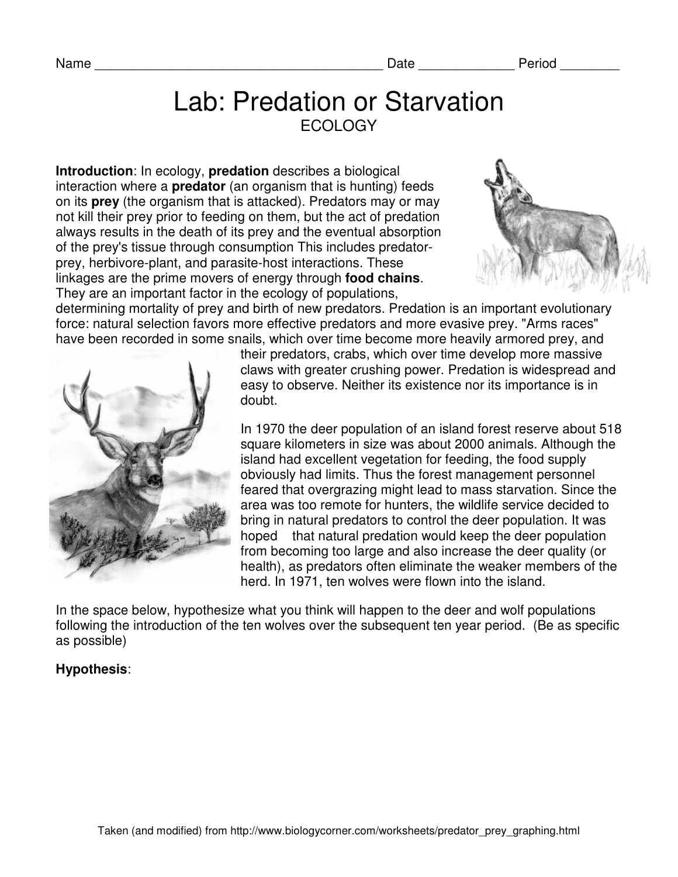Name **Name Name Name Name Name Name Name** *Name Name Name Name Name Name Name Name Name Name Name Name Name Name Name Name Name Name Name* 

## Lab: Predation or Starvation **ECOLOGY**

**Introduction**: In ecology, **predation** describes a biological interaction where a **predator** (an organism that is hunting) feeds on its **prey** (the organism that is attacked). Predators may or may not kill their prey prior to feeding on them, but the act of predation always results in the death of its prey and the eventual absorption of the prey's tissue through consumption This includes predatorprey, herbivore-plant, and parasite-host interactions. These linkages are the prime movers of energy through **food chains**. They are an important factor in the ecology of populations,



determining mortality of prey and birth of new predators. Predation is an important evolutionary force: natural selection favors more effective predators and more evasive prey. "Arms races" have been recorded in some snails, which over time become more heavily armored prey, and



their predators, crabs, which over time develop more massive claws with greater crushing power. Predation is widespread and easy to observe. Neither its existence nor its importance is in doubt.

In 1970 the deer population of an island forest reserve about 518 square kilometers in size was about 2000 animals. Although the island had excellent vegetation for feeding, the food supply obviously had limits. Thus the forest management personnel feared that overgrazing might lead to mass starvation. Since the area was too remote for hunters, the wildlife service decided to bring in natural predators to control the deer population. It was hoped that natural predation would keep the deer population from becoming too large and also increase the deer quality (or health), as predators often eliminate the weaker members of the herd. In 1971, ten wolves were flown into the island.

In the space below, hypothesize what you think will happen to the deer and wolf populations following the introduction of the ten wolves over the subsequent ten year period. (Be as specific as possible)

## **Hypothesis**: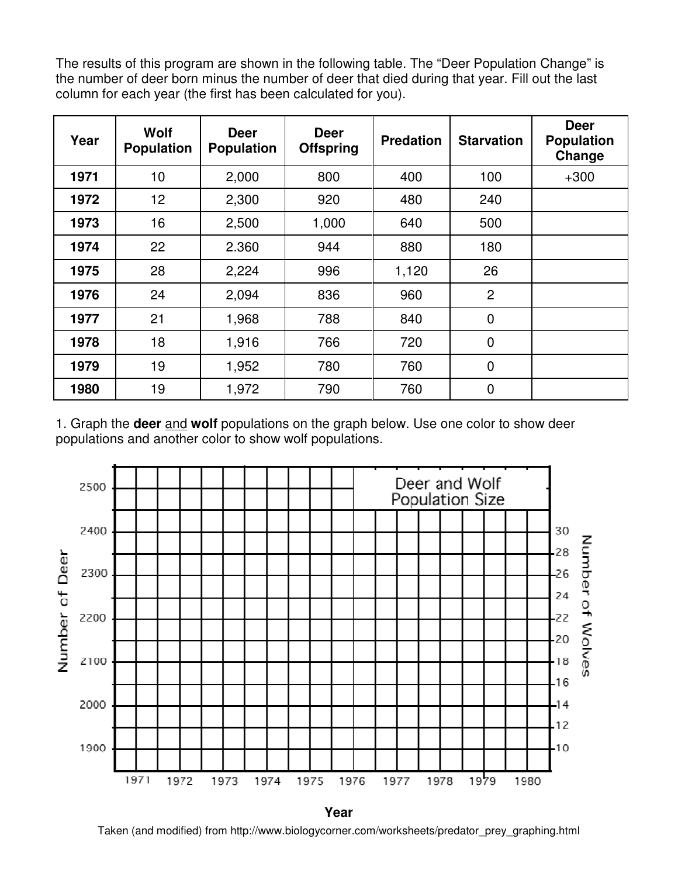The results of this program are shown in the following table. The "Deer Population Change" is the number of deer born minus the number of deer that died during that year. Fill out the last column for each year (the first has been calculated for you).

| Year | Wolf<br><b>Population</b> | <b>Deer</b><br><b>Population</b> | <b>Deer</b><br><b>Offspring</b> | <b>Predation</b> | <b>Starvation</b> | <b>Deer</b><br><b>Population</b><br>Change |
|------|---------------------------|----------------------------------|---------------------------------|------------------|-------------------|--------------------------------------------|
| 1971 | 10                        | 2,000                            | 800                             | 400              | 100               | $+300$                                     |
| 1972 | 12                        | 2,300                            | 920                             | 480              | 240               |                                            |
| 1973 | 16                        | 2,500                            | 1,000                           | 640              | 500               |                                            |
| 1974 | 22                        | 2.360                            | 944                             | 880              | 180               |                                            |
| 1975 | 28                        | 2,224                            | 996                             | 1,120            | 26                |                                            |
| 1976 | 24                        | 2,094                            | 836                             | 960              | $\overline{2}$    |                                            |
| 1977 | 21                        | 1,968                            | 788                             | 840              | $\mathbf 0$       |                                            |
| 1978 | 18                        | 1,916                            | 766                             | 720              | $\mathbf 0$       |                                            |
| 1979 | 19                        | 1,952                            | 780                             | 760              | $\overline{0}$    |                                            |
| 1980 | 19                        | 1,972                            | 790                             | 760              | $\mathbf 0$       |                                            |

1. Graph the **deer** and **wolf** populations on the graph below. Use one color to show deer populations and another color to show wolf populations.



**Year** 

Taken (and modified) from http://www.biologycorner.com/worksheets/predator\_prey\_graphing.html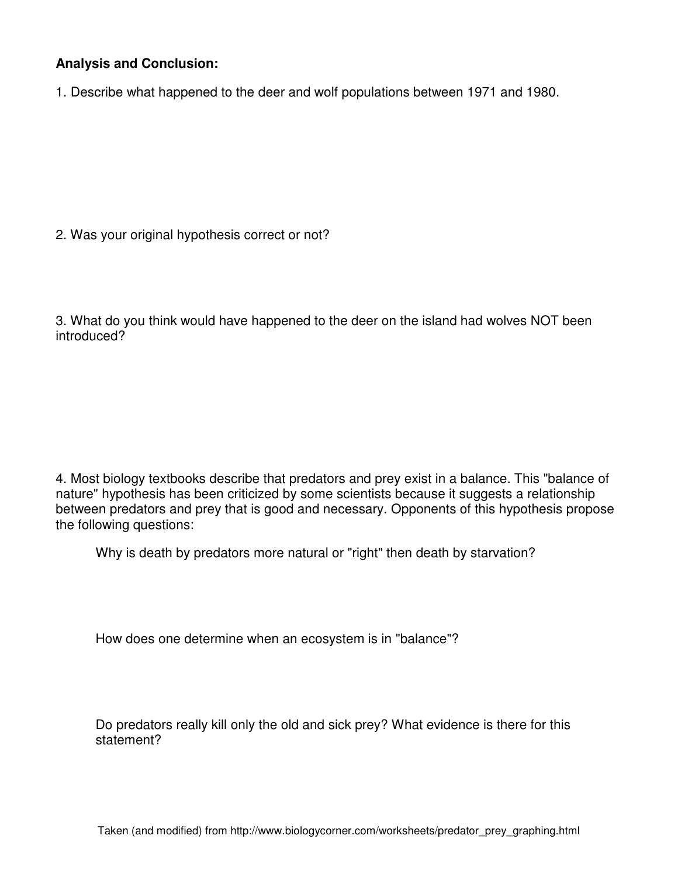## **Analysis and Conclusion:**

1. Describe what happened to the deer and wolf populations between 1971 and 1980.

2. Was your original hypothesis correct or not?

3. What do you think would have happened to the deer on the island had wolves NOT been introduced?

4. Most biology textbooks describe that predators and prey exist in a balance. This "balance of nature" hypothesis has been criticized by some scientists because it suggests a relationship between predators and prey that is good and necessary. Opponents of this hypothesis propose the following questions:

Why is death by predators more natural or "right" then death by starvation?

How does one determine when an ecosystem is in "balance"?

Do predators really kill only the old and sick prey? What evidence is there for this statement?